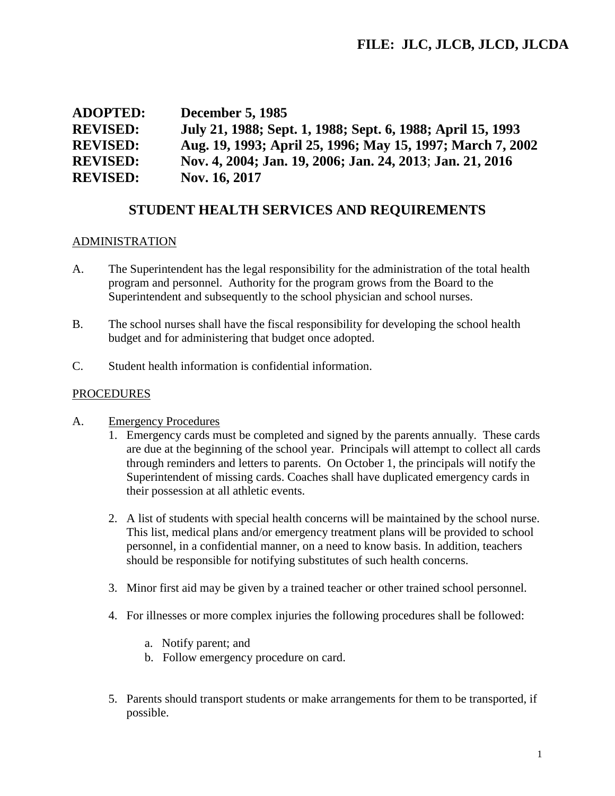| <b>ADOPTED:</b> | <b>December 5, 1985</b>                                     |
|-----------------|-------------------------------------------------------------|
| <b>REVISED:</b> | July 21, 1988; Sept. 1, 1988; Sept. 6, 1988; April 15, 1993 |
| <b>REVISED:</b> | Aug. 19, 1993; April 25, 1996; May 15, 1997; March 7, 2002  |
| <b>REVISED:</b> | Nov. 4, 2004; Jan. 19, 2006; Jan. 24, 2013; Jan. 21, 2016   |
| <b>REVISED:</b> | Nov. 16, 2017                                               |

# **STUDENT HEALTH SERVICES AND REQUIREMENTS**

### ADMINISTRATION

- A. The Superintendent has the legal responsibility for the administration of the total health program and personnel. Authority for the program grows from the Board to the Superintendent and subsequently to the school physician and school nurses.
- B. The school nurses shall have the fiscal responsibility for developing the school health budget and for administering that budget once adopted.
- C. Student health information is confidential information.

### PROCEDURES

- A. Emergency Procedures
	- 1. Emergency cards must be completed and signed by the parents annually. These cards are due at the beginning of the school year. Principals will attempt to collect all cards through reminders and letters to parents. On October 1, the principals will notify the Superintendent of missing cards. Coaches shall have duplicated emergency cards in their possession at all athletic events.
	- 2. A list of students with special health concerns will be maintained by the school nurse. This list, medical plans and/or emergency treatment plans will be provided to school personnel, in a confidential manner, on a need to know basis. In addition, teachers should be responsible for notifying substitutes of such health concerns.
	- 3. Minor first aid may be given by a trained teacher or other trained school personnel.
	- 4. For illnesses or more complex injuries the following procedures shall be followed:
		- a. Notify parent; and
		- b. Follow emergency procedure on card.
	- 5. Parents should transport students or make arrangements for them to be transported, if possible.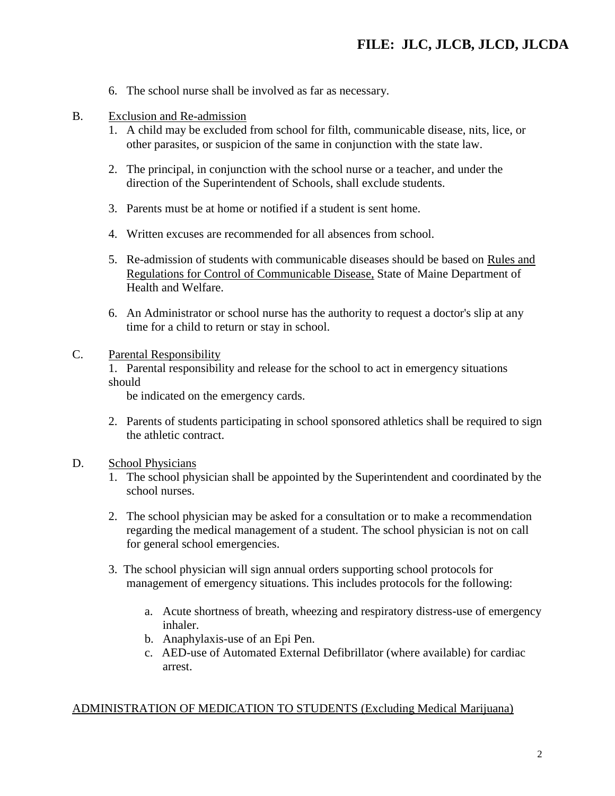- 6. The school nurse shall be involved as far as necessary.
- B. Exclusion and Re-admission
	- 1. A child may be excluded from school for filth, communicable disease, nits, lice, or other parasites, or suspicion of the same in conjunction with the state law.
	- 2. The principal, in conjunction with the school nurse or a teacher, and under the direction of the Superintendent of Schools, shall exclude students.
	- 3. Parents must be at home or notified if a student is sent home.
	- 4. Written excuses are recommended for all absences from school.
	- 5. Re-admission of students with communicable diseases should be based on Rules and Regulations for Control of Communicable Disease, State of Maine Department of Health and Welfare.
	- 6. An Administrator or school nurse has the authority to request a doctor's slip at any time for a child to return or stay in school.

#### C. Parental Responsibility

1. Parental responsibility and release for the school to act in emergency situations should

be indicated on the emergency cards.

- 2. Parents of students participating in school sponsored athletics shall be required to sign the athletic contract.
- D. School Physicians
	- 1. The school physician shall be appointed by the Superintendent and coordinated by the school nurses.
	- 2. The school physician may be asked for a consultation or to make a recommendation regarding the medical management of a student. The school physician is not on call for general school emergencies.
	- 3. The school physician will sign annual orders supporting school protocols for management of emergency situations. This includes protocols for the following:
		- a. Acute shortness of breath, wheezing and respiratory distress-use of emergency inhaler.
		- b. Anaphylaxis-use of an Epi Pen.
		- c. AED-use of Automated External Defibrillator (where available) for cardiac arrest.

#### ADMINISTRATION OF MEDICATION TO STUDENTS (Excluding Medical Marijuana)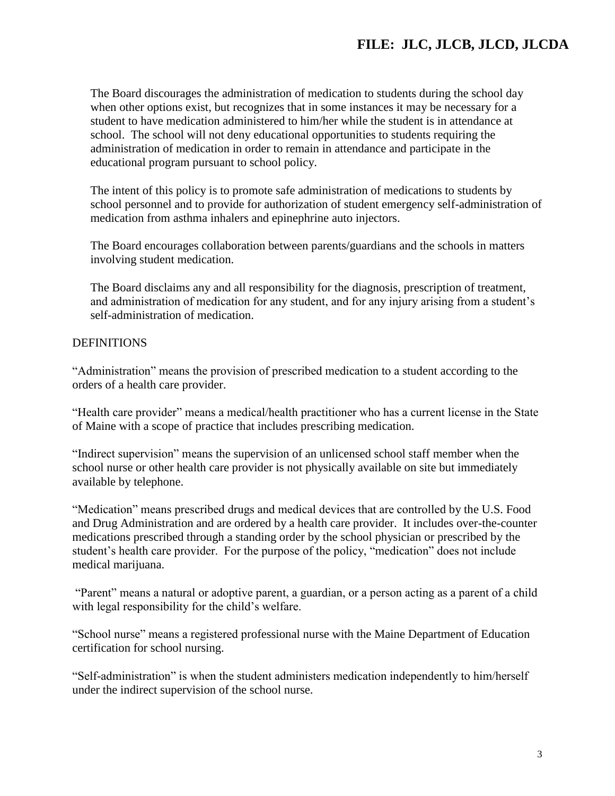The Board discourages the administration of medication to students during the school day when other options exist, but recognizes that in some instances it may be necessary for a student to have medication administered to him/her while the student is in attendance at school. The school will not deny educational opportunities to students requiring the administration of medication in order to remain in attendance and participate in the educational program pursuant to school policy.

The intent of this policy is to promote safe administration of medications to students by school personnel and to provide for authorization of student emergency self-administration of medication from asthma inhalers and epinephrine auto injectors.

The Board encourages collaboration between parents/guardians and the schools in matters involving student medication.

The Board disclaims any and all responsibility for the diagnosis, prescription of treatment, and administration of medication for any student, and for any injury arising from a student's self-administration of medication.

## DEFINITIONS

"Administration" means the provision of prescribed medication to a student according to the orders of a health care provider.

"Health care provider" means a medical/health practitioner who has a current license in the State of Maine with a scope of practice that includes prescribing medication.

"Indirect supervision" means the supervision of an unlicensed school staff member when the school nurse or other health care provider is not physically available on site but immediately available by telephone.

"Medication" means prescribed drugs and medical devices that are controlled by the U.S. Food and Drug Administration and are ordered by a health care provider. It includes over-the-counter medications prescribed through a standing order by the school physician or prescribed by the student's health care provider. For the purpose of the policy, "medication" does not include medical marijuana.

"Parent" means a natural or adoptive parent, a guardian, or a person acting as a parent of a child with legal responsibility for the child's welfare.

"School nurse" means a registered professional nurse with the Maine Department of Education certification for school nursing.

"Self-administration" is when the student administers medication independently to him/herself under the indirect supervision of the school nurse.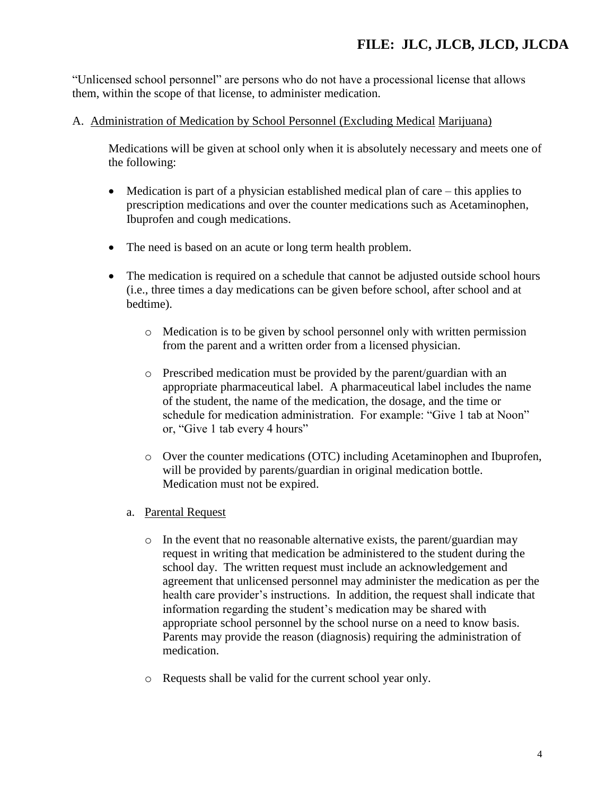"Unlicensed school personnel" are persons who do not have a processional license that allows them, within the scope of that license, to administer medication.

## A. Administration of Medication by School Personnel (Excluding Medical Marijuana)

Medications will be given at school only when it is absolutely necessary and meets one of the following:

- $\bullet$  Medication is part of a physician established medical plan of care this applies to prescription medications and over the counter medications such as Acetaminophen, Ibuprofen and cough medications.
- The need is based on an acute or long term health problem.
- The medication is required on a schedule that cannot be adjusted outside school hours (i.e., three times a day medications can be given before school, after school and at bedtime).
	- o Medication is to be given by school personnel only with written permission from the parent and a written order from a licensed physician.
	- o Prescribed medication must be provided by the parent/guardian with an appropriate pharmaceutical label. A pharmaceutical label includes the name of the student, the name of the medication, the dosage, and the time or schedule for medication administration. For example: "Give 1 tab at Noon" or, "Give 1 tab every 4 hours"
	- o Over the counter medications (OTC) including Acetaminophen and Ibuprofen, will be provided by parents/guardian in original medication bottle. Medication must not be expired.
	- a. Parental Request
		- o In the event that no reasonable alternative exists, the parent/guardian may request in writing that medication be administered to the student during the school day. The written request must include an acknowledgement and agreement that unlicensed personnel may administer the medication as per the health care provider's instructions. In addition, the request shall indicate that information regarding the student's medication may be shared with appropriate school personnel by the school nurse on a need to know basis. Parents may provide the reason (diagnosis) requiring the administration of medication.
		- o Requests shall be valid for the current school year only.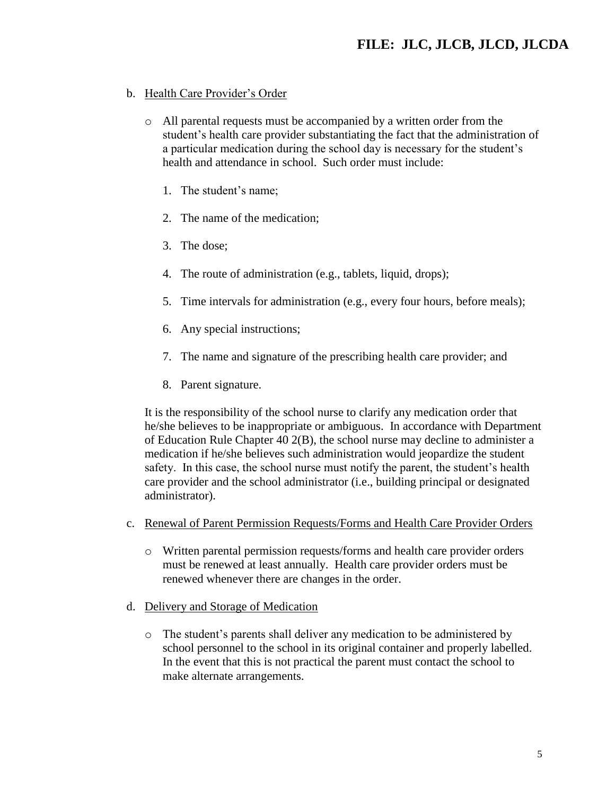## b. Health Care Provider's Order

- o All parental requests must be accompanied by a written order from the student's health care provider substantiating the fact that the administration of a particular medication during the school day is necessary for the student's health and attendance in school. Such order must include:
	- 1. The student's name;
	- 2. The name of the medication;
	- 3. The dose;
	- 4. The route of administration (e.g., tablets, liquid, drops);
	- 5. Time intervals for administration (e.g., every four hours, before meals);
	- 6. Any special instructions;
	- 7. The name and signature of the prescribing health care provider; and
	- 8. Parent signature.

It is the responsibility of the school nurse to clarify any medication order that he/she believes to be inappropriate or ambiguous. In accordance with Department of Education Rule Chapter 40 2(B), the school nurse may decline to administer a medication if he/she believes such administration would jeopardize the student safety. In this case, the school nurse must notify the parent, the student's health care provider and the school administrator (i.e., building principal or designated administrator).

- c. Renewal of Parent Permission Requests/Forms and Health Care Provider Orders
	- o Written parental permission requests/forms and health care provider orders must be renewed at least annually. Health care provider orders must be renewed whenever there are changes in the order.
- d. Delivery and Storage of Medication
	- o The student's parents shall deliver any medication to be administered by school personnel to the school in its original container and properly labelled. In the event that this is not practical the parent must contact the school to make alternate arrangements.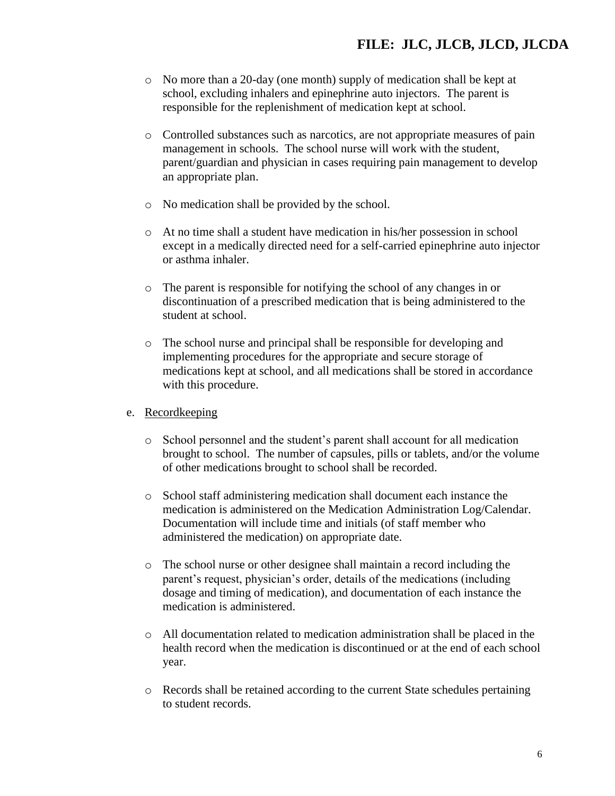- o No more than a 20-day (one month) supply of medication shall be kept at school, excluding inhalers and epinephrine auto injectors. The parent is responsible for the replenishment of medication kept at school.
- o Controlled substances such as narcotics, are not appropriate measures of pain management in schools. The school nurse will work with the student, parent/guardian and physician in cases requiring pain management to develop an appropriate plan.
- o No medication shall be provided by the school.
- o At no time shall a student have medication in his/her possession in school except in a medically directed need for a self-carried epinephrine auto injector or asthma inhaler.
- o The parent is responsible for notifying the school of any changes in or discontinuation of a prescribed medication that is being administered to the student at school.
- o The school nurse and principal shall be responsible for developing and implementing procedures for the appropriate and secure storage of medications kept at school, and all medications shall be stored in accordance with this procedure.

#### e. Recordkeeping

- o School personnel and the student's parent shall account for all medication brought to school. The number of capsules, pills or tablets, and/or the volume of other medications brought to school shall be recorded.
- o School staff administering medication shall document each instance the medication is administered on the Medication Administration Log/Calendar. Documentation will include time and initials (of staff member who administered the medication) on appropriate date.
- o The school nurse or other designee shall maintain a record including the parent's request, physician's order, details of the medications (including dosage and timing of medication), and documentation of each instance the medication is administered.
- o All documentation related to medication administration shall be placed in the health record when the medication is discontinued or at the end of each school year.
- o Records shall be retained according to the current State schedules pertaining to student records.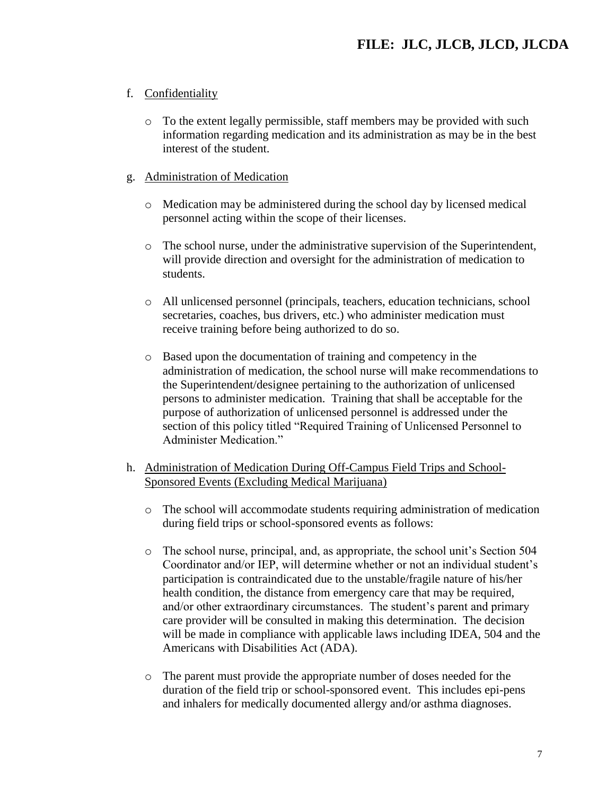## f. Confidentiality

o To the extent legally permissible, staff members may be provided with such information regarding medication and its administration as may be in the best interest of the student.

## g. Administration of Medication

- o Medication may be administered during the school day by licensed medical personnel acting within the scope of their licenses.
- $\circ$  The school nurse, under the administrative supervision of the Superintendent, will provide direction and oversight for the administration of medication to students.
- o All unlicensed personnel (principals, teachers, education technicians, school secretaries, coaches, bus drivers, etc.) who administer medication must receive training before being authorized to do so.
- o Based upon the documentation of training and competency in the administration of medication, the school nurse will make recommendations to the Superintendent/designee pertaining to the authorization of unlicensed persons to administer medication. Training that shall be acceptable for the purpose of authorization of unlicensed personnel is addressed under the section of this policy titled "Required Training of Unlicensed Personnel to Administer Medication."
- h. Administration of Medication During Off-Campus Field Trips and School-Sponsored Events (Excluding Medical Marijuana)
	- $\circ$  The school will accommodate students requiring administration of medication during field trips or school-sponsored events as follows:
	- o The school nurse, principal, and, as appropriate, the school unit's Section 504 Coordinator and/or IEP, will determine whether or not an individual student's participation is contraindicated due to the unstable/fragile nature of his/her health condition, the distance from emergency care that may be required, and/or other extraordinary circumstances. The student's parent and primary care provider will be consulted in making this determination. The decision will be made in compliance with applicable laws including IDEA, 504 and the Americans with Disabilities Act (ADA).
	- o The parent must provide the appropriate number of doses needed for the duration of the field trip or school-sponsored event. This includes epi-pens and inhalers for medically documented allergy and/or asthma diagnoses.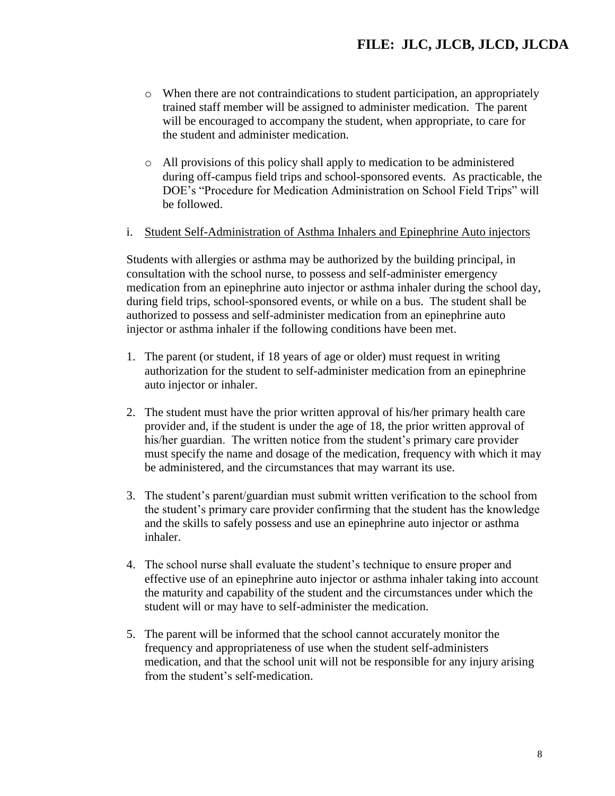- $\circ$  When there are not contraindications to student participation, an appropriately trained staff member will be assigned to administer medication. The parent will be encouraged to accompany the student, when appropriate, to care for the student and administer medication.
- o All provisions of this policy shall apply to medication to be administered during off-campus field trips and school-sponsored events. As practicable, the DOE's "Procedure for Medication Administration on School Field Trips" will be followed.
- i. Student Self-Administration of Asthma Inhalers and Epinephrine Auto injectors

Students with allergies or asthma may be authorized by the building principal, in consultation with the school nurse, to possess and self-administer emergency medication from an epinephrine auto injector or asthma inhaler during the school day, during field trips, school-sponsored events, or while on a bus. The student shall be authorized to possess and self-administer medication from an epinephrine auto injector or asthma inhaler if the following conditions have been met.

- 1. The parent (or student, if 18 years of age or older) must request in writing authorization for the student to self-administer medication from an epinephrine auto injector or inhaler.
- 2. The student must have the prior written approval of his/her primary health care provider and, if the student is under the age of 18, the prior written approval of his/her guardian. The written notice from the student's primary care provider must specify the name and dosage of the medication, frequency with which it may be administered, and the circumstances that may warrant its use.
- 3. The student's parent/guardian must submit written verification to the school from the student's primary care provider confirming that the student has the knowledge and the skills to safely possess and use an epinephrine auto injector or asthma inhaler.
- 4. The school nurse shall evaluate the student's technique to ensure proper and effective use of an epinephrine auto injector or asthma inhaler taking into account the maturity and capability of the student and the circumstances under which the student will or may have to self-administer the medication.
- 5. The parent will be informed that the school cannot accurately monitor the frequency and appropriateness of use when the student self-administers medication, and that the school unit will not be responsible for any injury arising from the student's self-medication.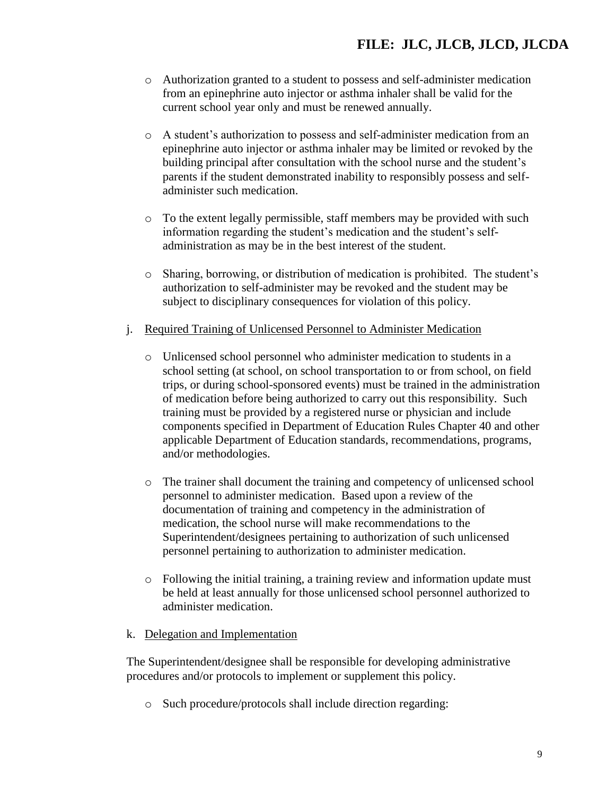- o Authorization granted to a student to possess and self-administer medication from an epinephrine auto injector or asthma inhaler shall be valid for the current school year only and must be renewed annually.
- o A student's authorization to possess and self-administer medication from an epinephrine auto injector or asthma inhaler may be limited or revoked by the building principal after consultation with the school nurse and the student's parents if the student demonstrated inability to responsibly possess and selfadminister such medication.
- $\circ$  To the extent legally permissible, staff members may be provided with such information regarding the student's medication and the student's selfadministration as may be in the best interest of the student.
- o Sharing, borrowing, or distribution of medication is prohibited. The student's authorization to self-administer may be revoked and the student may be subject to disciplinary consequences for violation of this policy.
- j. Required Training of Unlicensed Personnel to Administer Medication
	- o Unlicensed school personnel who administer medication to students in a school setting (at school, on school transportation to or from school, on field trips, or during school-sponsored events) must be trained in the administration of medication before being authorized to carry out this responsibility. Such training must be provided by a registered nurse or physician and include components specified in Department of Education Rules Chapter 40 and other applicable Department of Education standards, recommendations, programs, and/or methodologies.
	- o The trainer shall document the training and competency of unlicensed school personnel to administer medication. Based upon a review of the documentation of training and competency in the administration of medication, the school nurse will make recommendations to the Superintendent/designees pertaining to authorization of such unlicensed personnel pertaining to authorization to administer medication.
	- $\circ$  Following the initial training, a training review and information update must be held at least annually for those unlicensed school personnel authorized to administer medication.

#### k. Delegation and Implementation

The Superintendent/designee shall be responsible for developing administrative procedures and/or protocols to implement or supplement this policy.

o Such procedure/protocols shall include direction regarding: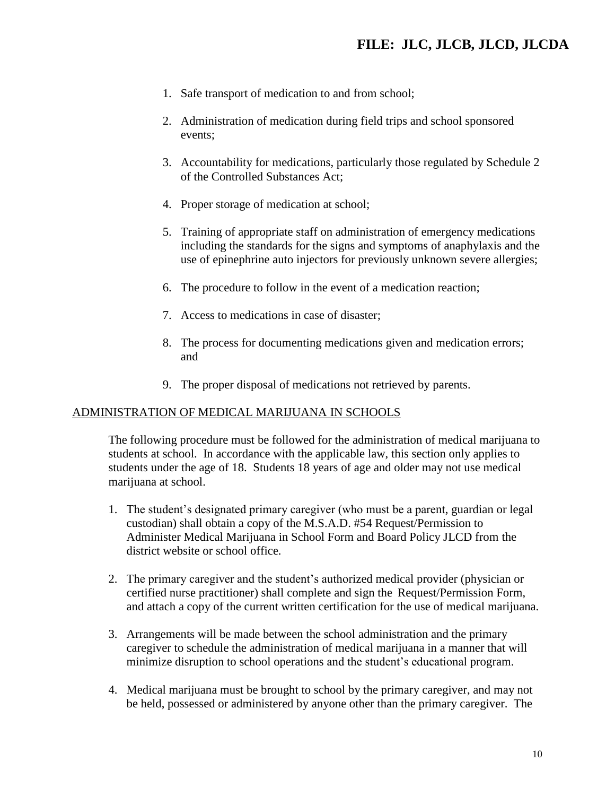- 1. Safe transport of medication to and from school;
- 2. Administration of medication during field trips and school sponsored events;
- 3. Accountability for medications, particularly those regulated by Schedule 2 of the Controlled Substances Act;
- 4. Proper storage of medication at school;
- 5. Training of appropriate staff on administration of emergency medications including the standards for the signs and symptoms of anaphylaxis and the use of epinephrine auto injectors for previously unknown severe allergies;
- 6. The procedure to follow in the event of a medication reaction;
- 7. Access to medications in case of disaster;
- 8. The process for documenting medications given and medication errors; and
- 9. The proper disposal of medications not retrieved by parents.

#### ADMINISTRATION OF MEDICAL MARIJUANA IN SCHOOLS

The following procedure must be followed for the administration of medical marijuana to students at school. In accordance with the applicable law, this section only applies to students under the age of 18. Students 18 years of age and older may not use medical marijuana at school.

- 1. The student's designated primary caregiver (who must be a parent, guardian or legal custodian) shall obtain a copy of the M.S.A.D. #54 Request/Permission to Administer Medical Marijuana in School Form and Board Policy JLCD from the district website or school office.
- 2. The primary caregiver and the student's authorized medical provider (physician or certified nurse practitioner) shall complete and sign the Request/Permission Form, and attach a copy of the current written certification for the use of medical marijuana.
- 3. Arrangements will be made between the school administration and the primary caregiver to schedule the administration of medical marijuana in a manner that will minimize disruption to school operations and the student's educational program.
- 4. Medical marijuana must be brought to school by the primary caregiver, and may not be held, possessed or administered by anyone other than the primary caregiver. The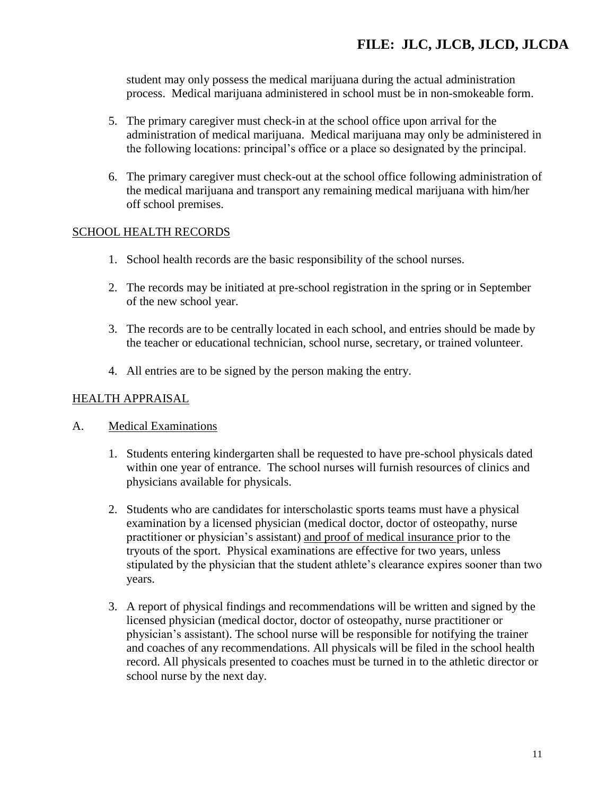student may only possess the medical marijuana during the actual administration process. Medical marijuana administered in school must be in non-smokeable form.

- 5. The primary caregiver must check-in at the school office upon arrival for the administration of medical marijuana. Medical marijuana may only be administered in the following locations: principal's office or a place so designated by the principal.
- 6. The primary caregiver must check-out at the school office following administration of the medical marijuana and transport any remaining medical marijuana with him/her off school premises.

### SCHOOL HEALTH RECORDS

- 1. School health records are the basic responsibility of the school nurses.
- 2. The records may be initiated at pre-school registration in the spring or in September of the new school year.
- 3. The records are to be centrally located in each school, and entries should be made by the teacher or educational technician, school nurse, secretary, or trained volunteer.
- 4. All entries are to be signed by the person making the entry.

### HEALTH APPRAISAL

#### A. Medical Examinations

- 1. Students entering kindergarten shall be requested to have pre-school physicals dated within one year of entrance. The school nurses will furnish resources of clinics and physicians available for physicals.
- 2. Students who are candidates for interscholastic sports teams must have a physical examination by a licensed physician (medical doctor, doctor of osteopathy, nurse practitioner or physician's assistant) and proof of medical insurance prior to the tryouts of the sport. Physical examinations are effective for two years, unless stipulated by the physician that the student athlete's clearance expires sooner than two years.
- 3. A report of physical findings and recommendations will be written and signed by the licensed physician (medical doctor, doctor of osteopathy, nurse practitioner or physician's assistant). The school nurse will be responsible for notifying the trainer and coaches of any recommendations. All physicals will be filed in the school health record. All physicals presented to coaches must be turned in to the athletic director or school nurse by the next day.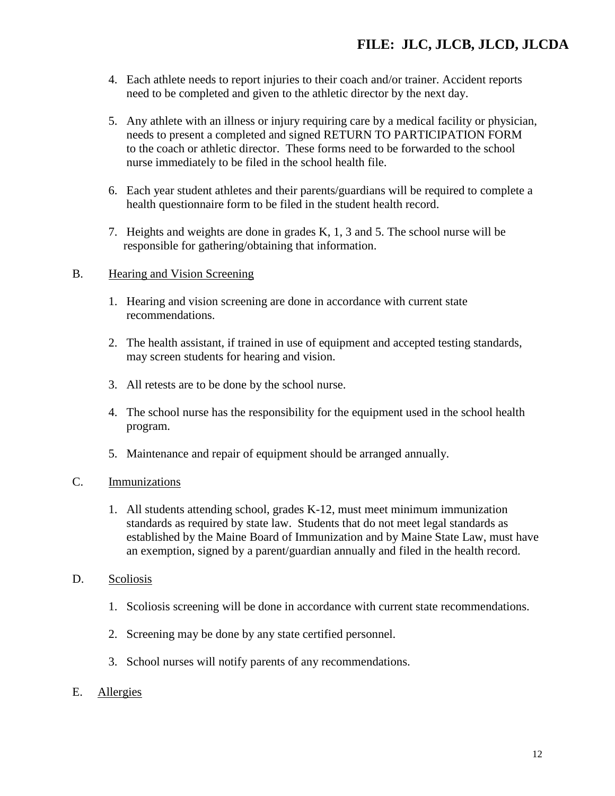- 4. Each athlete needs to report injuries to their coach and/or trainer. Accident reports need to be completed and given to the athletic director by the next day.
- 5. Any athlete with an illness or injury requiring care by a medical facility or physician, needs to present a completed and signed RETURN TO PARTICIPATION FORM to the coach or athletic director. These forms need to be forwarded to the school nurse immediately to be filed in the school health file.
- 6. Each year student athletes and their parents/guardians will be required to complete a health questionnaire form to be filed in the student health record.
- 7. Heights and weights are done in grades K, 1, 3 and 5. The school nurse will be responsible for gathering/obtaining that information.

### B. Hearing and Vision Screening

- 1. Hearing and vision screening are done in accordance with current state recommendations.
- 2. The health assistant, if trained in use of equipment and accepted testing standards, may screen students for hearing and vision.
- 3. All retests are to be done by the school nurse.
- 4. The school nurse has the responsibility for the equipment used in the school health program.
- 5. Maintenance and repair of equipment should be arranged annually.

## C. Immunizations

- 1. All students attending school, grades K-12, must meet minimum immunization standards as required by state law. Students that do not meet legal standards as established by the Maine Board of Immunization and by Maine State Law, must have an exemption, signed by a parent/guardian annually and filed in the health record.
- D. Scoliosis
	- 1. Scoliosis screening will be done in accordance with current state recommendations.
	- 2. Screening may be done by any state certified personnel.
	- 3. School nurses will notify parents of any recommendations.
- E. Allergies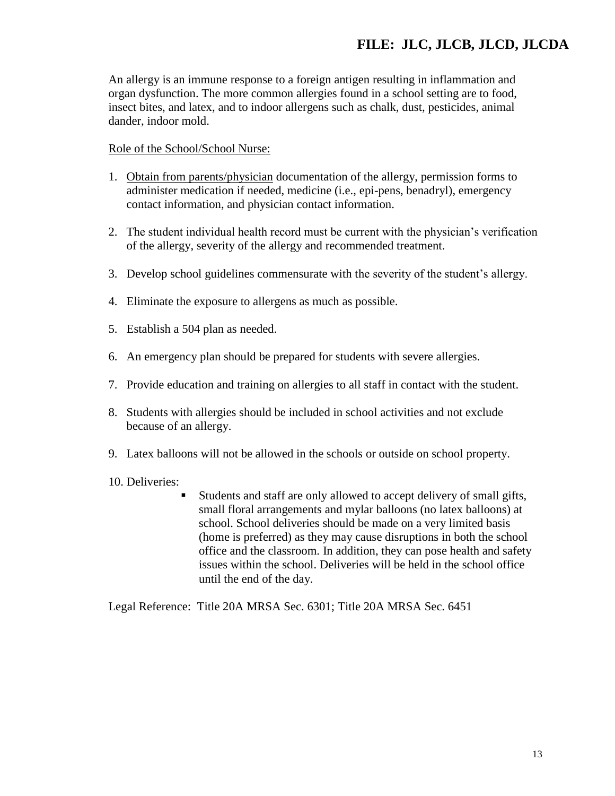An allergy is an immune response to a foreign antigen resulting in inflammation and organ dysfunction. The more common allergies found in a school setting are to food, insect bites, and latex, and to indoor allergens such as chalk, dust, pesticides, animal dander, indoor mold.

Role of the School/School Nurse:

- 1. Obtain from parents/physician documentation of the allergy, permission forms to administer medication if needed, medicine (i.e., epi-pens, benadryl), emergency contact information, and physician contact information.
- 2. The student individual health record must be current with the physician's verification of the allergy, severity of the allergy and recommended treatment.
- 3. Develop school guidelines commensurate with the severity of the student's allergy.
- 4. Eliminate the exposure to allergens as much as possible.
- 5. Establish a 504 plan as needed.
- 6. An emergency plan should be prepared for students with severe allergies.
- 7. Provide education and training on allergies to all staff in contact with the student.
- 8. Students with allergies should be included in school activities and not exclude because of an allergy.
- 9. Latex balloons will not be allowed in the schools or outside on school property.
- 10. Deliveries:
	- Students and staff are only allowed to accept delivery of small gifts, small floral arrangements and mylar balloons (no latex balloons) at school. School deliveries should be made on a very limited basis (home is preferred) as they may cause disruptions in both the school office and the classroom. In addition, they can pose health and safety issues within the school. Deliveries will be held in the school office until the end of the day.

Legal Reference: Title 20A MRSA Sec. 6301; Title 20A MRSA Sec. 6451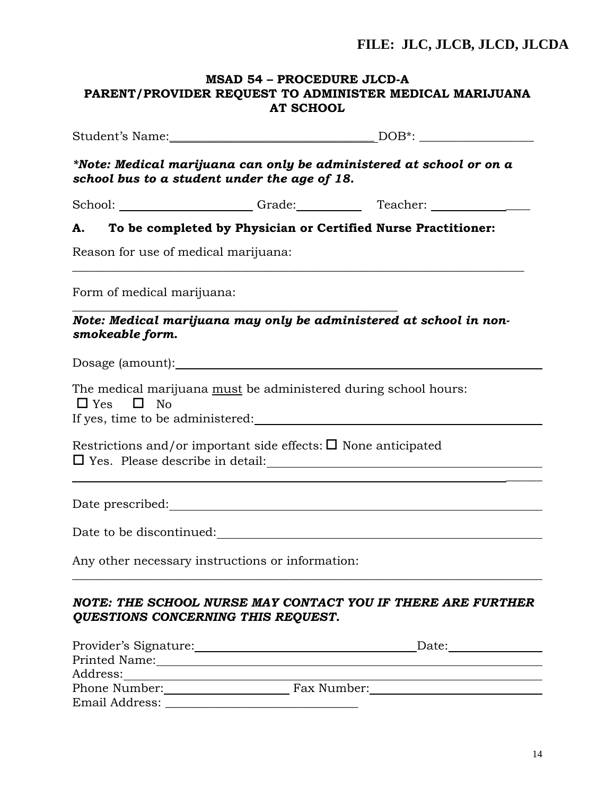## **MSAD 54 – PROCEDURE JLCD-A PARENT/PROVIDER REQUEST TO ADMINISTER MEDICAL MARIJUANA AT SCHOOL**

|                                      | school bus to a student under the age of 18.                                                                   | *Note: Medical marijuana can only be administered at school or on a    |
|--------------------------------------|----------------------------------------------------------------------------------------------------------------|------------------------------------------------------------------------|
|                                      |                                                                                                                |                                                                        |
|                                      |                                                                                                                | A. To be completed by Physician or Certified Nurse Practitioner:       |
| Reason for use of medical marijuana: |                                                                                                                |                                                                        |
| Form of medical marijuana:           |                                                                                                                |                                                                        |
| smokeable form.                      |                                                                                                                | Note: Medical marijuana may only be administered at school in non-     |
|                                      | Dosage (amount):                                                                                               |                                                                        |
| $\Box$ Yes $\Box$ No                 | The medical marijuana must be administered during school hours:                                                |                                                                        |
|                                      |                                                                                                                |                                                                        |
|                                      | Restrictions and/or important side effects: $\square$ None anticipated                                         | □ Yes. Please describe in detail:<br>□ Yes. Please describe in detail: |
|                                      |                                                                                                                |                                                                        |
|                                      | Date to be discontinued:                                                                                       |                                                                        |
|                                      | Any other necessary instructions or information:                                                               |                                                                        |
|                                      | <b>QUESTIONS CONCERNING THIS REQUEST.</b>                                                                      | NOTE: THE SCHOOL NURSE MAY CONTACT YOU IF THERE ARE FURTHER            |
|                                      | Provider's Signature: Marian Marian Marian Marian Marian Marian Marian Marian Marian Marian Marian Marian Mari |                                                                        |
|                                      |                                                                                                                |                                                                        |
| Address:                             |                                                                                                                |                                                                        |
|                                      |                                                                                                                | Phone Number: Fax Number:                                              |

Email Address: \_\_\_\_\_\_\_\_\_\_\_\_\_\_\_\_\_\_\_\_\_\_\_\_\_\_\_\_\_\_\_\_